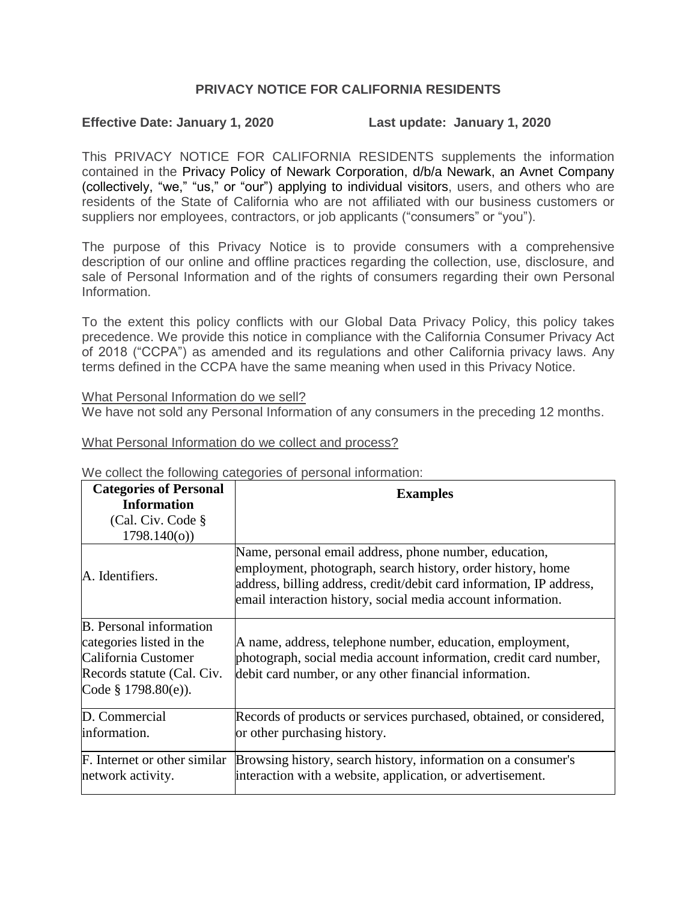# **PRIVACY NOTICE FOR CALIFORNIA RESIDENTS**

### **Effective Date: January 1, 2020 Last update: January 1, 2020**

This PRIVACY NOTICE FOR CALIFORNIA RESIDENTS supplements the information contained in the Privacy Policy of Newark Corporation, d/b/a Newark, an Avnet Company (collectively, "we," "us," or "our") applying to individual visitors, users, and others who are residents of the State of California who are not affiliated with our business customers or suppliers nor employees, contractors, or job applicants ("consumers" or "you").

The purpose of this Privacy Notice is to provide consumers with a comprehensive description of our online and offline practices regarding the collection, use, disclosure, and sale of Personal Information and of the rights of consumers regarding their own Personal Information.

To the extent this policy conflicts with our Global Data Privacy Policy, this policy takes precedence. We provide this notice in compliance with the California Consumer Privacy Act of 2018 ("CCPA") as amended and its regulations and other California privacy laws. Any terms defined in the CCPA have the same meaning when used in this Privacy Notice.

### What Personal Information do we sell?

We have not sold any Personal Information of any consumers in the preceding 12 months.

What Personal Information do we collect and process?

**Categories of Personal Information**  (Cal. Civ. Code § 1798.140(o)) **Examples** A. Identifiers. Name, personal email address, phone number, education, employment, photograph, search history, order history, home address, billing address, credit/debit card information, IP address, email interaction history, social media account information. B. Personal information categories listed in the California Customer Records statute (Cal. Civ. Code § 1798.80(e)). A name, address, telephone number, education, employment, photograph, social media account information, credit card number, debit card number, or any other financial information. D. Commercial information. Records of products or services purchased, obtained, or considered, or other purchasing history. F. Internet or other similar network activity. Browsing history, search history, information on a consumer's interaction with a website, application, or advertisement.

We collect the following categories of personal information: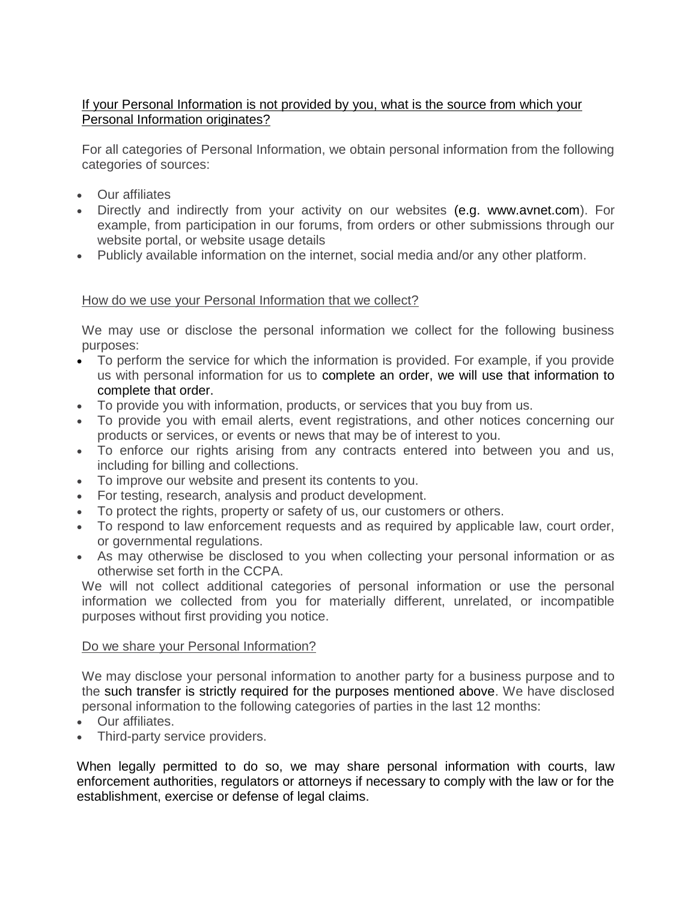## If your Personal Information is not provided by you, what is the source from which your Personal Information originates?

For all categories of Personal Information, we obtain personal information from the following categories of sources:

- Our affiliates
- Directly and indirectly from your activity on our websites (e.g. www.avnet.com). For example, from participation in our forums, from orders or other submissions through our website portal, or website usage details
- Publicly available information on the internet, social media and/or any other platform.

## How do we use your Personal Information that we collect?

We may use or disclose the personal information we collect for the following business purposes:

- To perform the service for which the information is provided. For example, if you provide us with personal information for us to complete an order, we will use that information to complete that order.
- To provide you with information, products, or services that you buy from us.
- To provide you with email alerts, event registrations, and other notices concerning our products or services, or events or news that may be of interest to you.
- To enforce our rights arising from any contracts entered into between you and us, including for billing and collections.
- To improve our website and present its contents to you.
- For testing, research, analysis and product development.
- To protect the rights, property or safety of us, our customers or others.
- To respond to law enforcement requests and as required by applicable law, court order, or governmental regulations.
- As may otherwise be disclosed to you when collecting your personal information or as otherwise set forth in the CCPA.

We will not collect additional categories of personal information or use the personal information we collected from you for materially different, unrelated, or incompatible purposes without first providing you notice.

### Do we share your Personal Information?

We may disclose your personal information to another party for a business purpose and to the such transfer is strictly required for the purposes mentioned above. We have disclosed personal information to the following categories of parties in the last 12 months:

- Our affiliates.
- Third-party service providers.

When legally permitted to do so, we may share personal information with courts, law enforcement authorities, regulators or attorneys if necessary to comply with the law or for the establishment, exercise or defense of legal claims.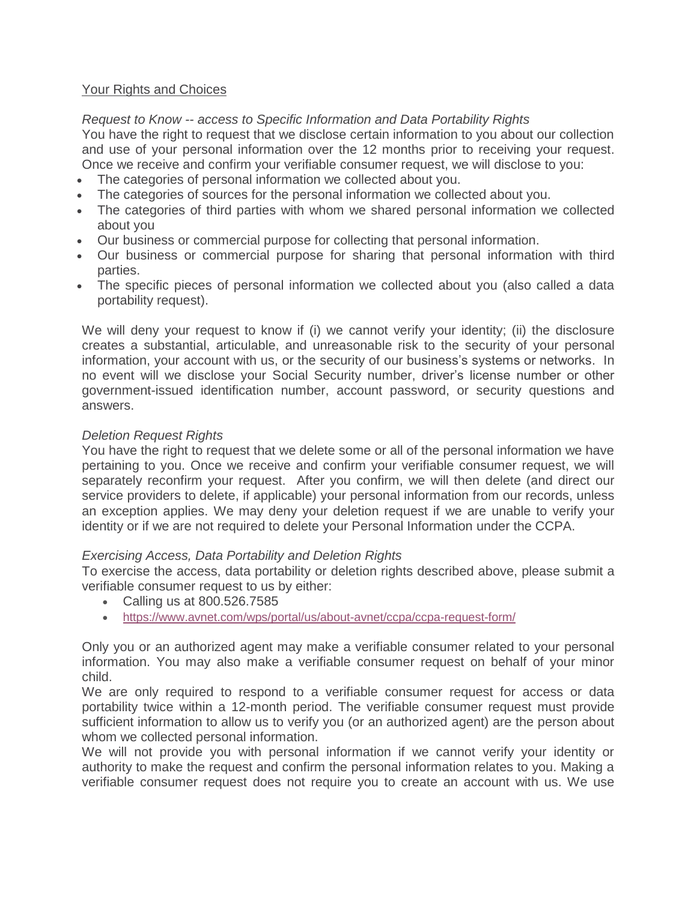## Your Rights and Choices

*Request to Know -- access to Specific Information and Data Portability Rights*

You have the right to request that we disclose certain information to you about our collection and use of your personal information over the 12 months prior to receiving your request. Once we receive and confirm your verifiable consumer request, we will disclose to you:

- The categories of personal information we collected about you.
- The categories of sources for the personal information we collected about you.
- The categories of third parties with whom we shared personal information we collected about you
- Our business or commercial purpose for collecting that personal information.
- Our business or commercial purpose for sharing that personal information with third parties.
- The specific pieces of personal information we collected about you (also called a data portability request).

We will deny your request to know if (i) we cannot verify your identity; (ii) the disclosure creates a substantial, articulable, and unreasonable risk to the security of your personal information, your account with us, or the security of our business's systems or networks. In no event will we disclose your Social Security number, driver's license number or other government-issued identification number, account password, or security questions and answers.

## *Deletion Request Rights*

You have the right to request that we delete some or all of the personal information we have pertaining to you. Once we receive and confirm your verifiable consumer request, we will separately reconfirm your request. After you confirm, we will then delete (and direct our service providers to delete, if applicable) your personal information from our records, unless an exception applies. We may deny your deletion request if we are unable to verify your identity or if we are not required to delete your Personal Information under the CCPA.

### *Exercising Access, Data Portability and Deletion Rights*

To exercise the access, data portability or deletion rights described above, please submit a verifiable consumer request to us by either:

- Calling us at 800.526.7585
- <https://www.avnet.com/wps/portal/us/about-avnet/ccpa/ccpa-request-form/>

Only you or an authorized agent may make a verifiable consumer related to your personal information. You may also make a verifiable consumer request on behalf of your minor child.

We are only required to respond to a verifiable consumer request for access or data portability twice within a 12-month period. The verifiable consumer request must provide sufficient information to allow us to verify you (or an authorized agent) are the person about whom we collected personal information.

We will not provide you with personal information if we cannot verify your identity or authority to make the request and confirm the personal information relates to you. Making a verifiable consumer request does not require you to create an account with us. We use